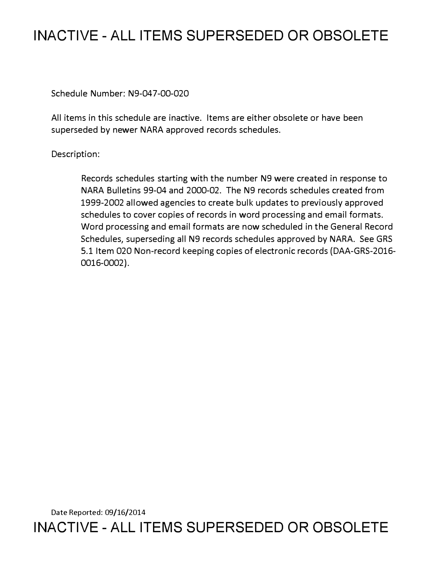# **INACTIVE - ALL ITEMS SUPERSEDED OR OBSOLETE**

Schedule Number: N9-047-00-020

All items in this schedule are inactive. Items are either obsolete or have been superseded by newer NARA approved records schedules.

## Description:

Records schedules starting with the number N9 were created in response to NARA Bulletins 99-04 and 2000-02. The N9 records schedules created from 1999-2002 allowed agencies to create bulk updates to previously approved schedules to cover copies of records in word processing and email formats. Word processing and email formats are now scheduled in the General Record Schedules, superseding all N9 records schedules approved by NARA. See GRS 5.1 Item 020 Non-record keeping copies of electronic records (DAA-GRS-2016- 0016-0002).

Date Reported: 09/16/2014 **INACTIVE - ALL ITEMS SUPERSEDED OR OBSOLETE**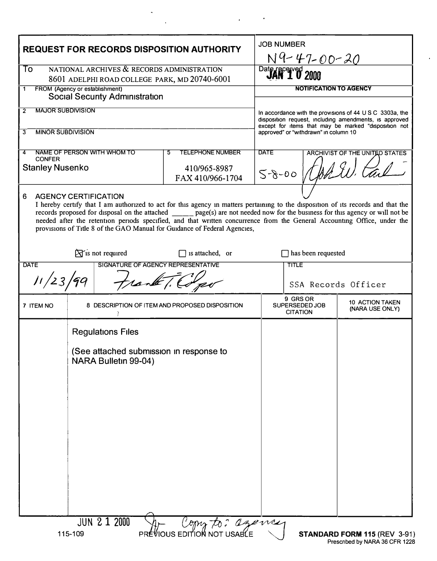| <b>REQUEST FOR RECORDS DISPOSITION AUTHORITY</b>                                                                                                                                                                                                                                                                                                                                                                                                                                                                  |                                                                                             |                                  | <b>JOB NUMBER</b><br><u>N9-47-00-20</u>                                                                                                                                    |                                                                                            |  |
|-------------------------------------------------------------------------------------------------------------------------------------------------------------------------------------------------------------------------------------------------------------------------------------------------------------------------------------------------------------------------------------------------------------------------------------------------------------------------------------------------------------------|---------------------------------------------------------------------------------------------|----------------------------------|----------------------------------------------------------------------------------------------------------------------------------------------------------------------------|--------------------------------------------------------------------------------------------|--|
| NATIONAL ARCHIVES & RECORDS ADMINISTRATION<br>To<br>8601 ADELPHI ROAD COLLEGE PARK, MD 20740-6001                                                                                                                                                                                                                                                                                                                                                                                                                 |                                                                                             |                                  | Date received 2000                                                                                                                                                         |                                                                                            |  |
| FROM (Agency or establishment)<br>1                                                                                                                                                                                                                                                                                                                                                                                                                                                                               |                                                                                             |                                  | <b>NOTIFICATION TO AGENCY</b>                                                                                                                                              |                                                                                            |  |
| <b>Social Security Administration</b><br><b>MAJOR SUBDIVISION</b><br>$\overline{2}$                                                                                                                                                                                                                                                                                                                                                                                                                               |                                                                                             |                                  |                                                                                                                                                                            |                                                                                            |  |
|                                                                                                                                                                                                                                                                                                                                                                                                                                                                                                                   |                                                                                             |                                  | In accordance with the provisions of 44 U S C 3303a, the<br>disposition request, including amendments, is approved<br>except for items that may be marked "disposition not |                                                                                            |  |
| <b>MINOR SUBDIVISION</b><br>3                                                                                                                                                                                                                                                                                                                                                                                                                                                                                     |                                                                                             |                                  | approved" or "withdrawn" in column 10                                                                                                                                      |                                                                                            |  |
| NAME OF PERSON WITH WHOM TO<br><b>TELEPHONE NUMBER</b><br>5<br>4<br><b>CONFER</b>                                                                                                                                                                                                                                                                                                                                                                                                                                 |                                                                                             |                                  | <b>DATE</b><br><b>ARCHIVIST OF THE UNITED STATES</b>                                                                                                                       |                                                                                            |  |
| <b>Stanley Nusenko</b>                                                                                                                                                                                                                                                                                                                                                                                                                                                                                            |                                                                                             | 410/965-8987<br>FAX 410/966-1704 |                                                                                                                                                                            | $5 - 8 - 00$                                                                               |  |
| <b>AGENCY CERTIFICATION</b><br>6<br>I hereby certify that I am authorized to act for this agency in matters pertaining to the disposition of its records and that the<br>records proposed for disposal on the attached ______ page(s) are not needed now for the business for this agency or will not be<br>needed after the retention periods specified, and that written concurrence from the General Accounting Office, under the<br>provisions of Title 8 of the GAO Manual for Guidance of Federal Agencies, |                                                                                             |                                  |                                                                                                                                                                            |                                                                                            |  |
| $\hat{X}$ is not required<br>$\Box$ has been requested<br>$\Box$ is attached, or                                                                                                                                                                                                                                                                                                                                                                                                                                  |                                                                                             |                                  |                                                                                                                                                                            |                                                                                            |  |
| SIGNATURE OF AGENCY REPRESENTATIVE<br><b>DATE</b>                                                                                                                                                                                                                                                                                                                                                                                                                                                                 |                                                                                             |                                  | <b>TITLE</b>                                                                                                                                                               |                                                                                            |  |
| Frank T. Co<br>11/23/99                                                                                                                                                                                                                                                                                                                                                                                                                                                                                           |                                                                                             |                                  | SSA Records Officer                                                                                                                                                        |                                                                                            |  |
| 7 ITEM NO                                                                                                                                                                                                                                                                                                                                                                                                                                                                                                         | 8 DESCRIPTION OF ITEM AND PROPOSED DISPOSITION                                              |                                  |                                                                                                                                                                            | 9 GRS OR<br><b>10 ACTION TAKEN</b><br>SUPERSEDED JOB<br>(NARA USE ONLY)<br><b>CITATION</b> |  |
|                                                                                                                                                                                                                                                                                                                                                                                                                                                                                                                   | <b>Regulations Files</b><br>(See attached submission in response to<br>NARA Bulletin 99-04) |                                  |                                                                                                                                                                            |                                                                                            |  |
| <b>JUN 2 1 2000</b><br>Copy to: agency<br>PREVIOUS EDITION NOT USABLE<br>115-109<br>STANDARD FORM 115 (REV 3-91                                                                                                                                                                                                                                                                                                                                                                                                   |                                                                                             |                                  |                                                                                                                                                                            |                                                                                            |  |

 $\mathcal{L}^{\text{max}}(\mathcal{A})$ 

 $\frac{1}{2}$  ,  $\frac{1}{2}$ 

 $\sim$   $\epsilon$